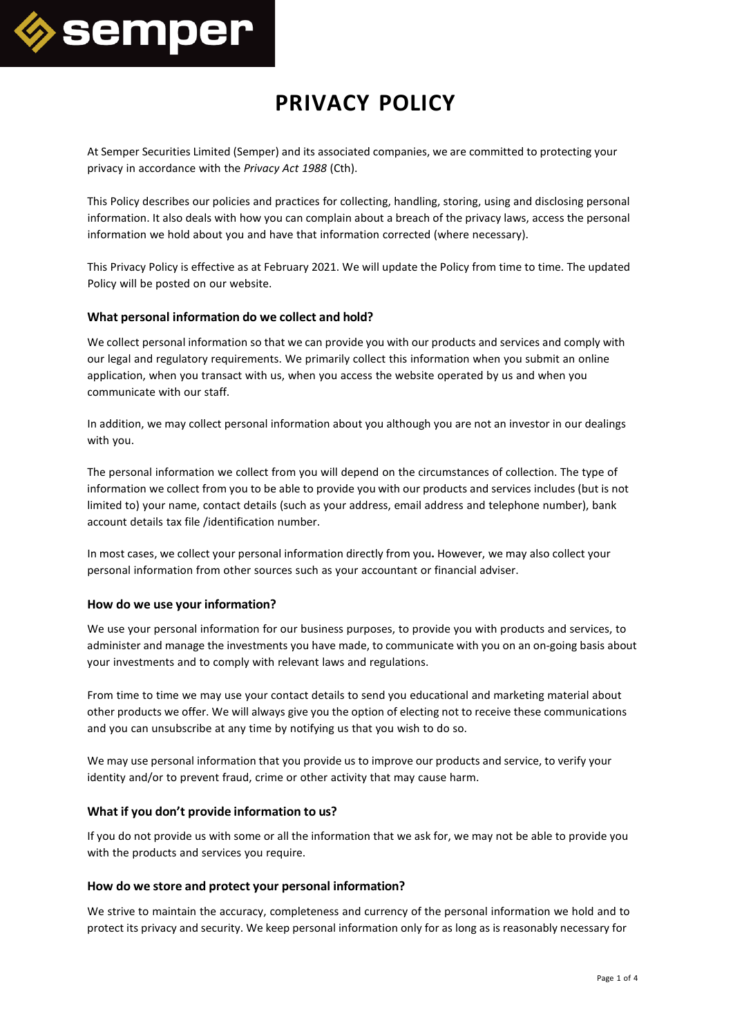

# **PRIVACY POLICY**

At Semper Securities Limited (Semper) and its associated companies, we are committed to protecting your privacy in accordance with the *Privacy Act 1988* (Cth).

This Policy describes our policies and practices for collecting, handling, storing, using and disclosing personal information. It also deals with how you can complain about a breach of the privacy laws, access the personal information we hold about you and have that information corrected (where necessary).

This Privacy Policy is effective as at February 2021. We will update the Policy from time to time. The updated Policy will be posted on our website.

# **What personal information do we collect and hold?**

We collect personal information so that we can provide you with our products and services and comply with our legal and regulatory requirements. We primarily collect this information when you submit an online application, when you transact with us, when you access the website operated by us and when you communicate with our staff.

In addition, we may collect personal information about you although you are not an investor in our dealings with you.

The personal information we collect from you will depend on the circumstances of collection. The type of information we collect from you to be able to provide you with our products and services includes (but is not limited to) your name, contact details (such as your address, email address and telephone number), bank account details tax file /identification number.

In most cases, we collect your personal information directly from you**.** However, we may also collect your personal information from other sources such as your accountant or financial adviser.

# **How do we use your information?**

We use your personal information for our business purposes, to provide you with products and services, to administer and manage the investments you have made, to communicate with you on an on-going basis about your investments and to comply with relevant laws and regulations.

From time to time we may use your contact details to send you educational and marketing material about other products we offer. We will always give you the option of electing not to receive these communications and you can unsubscribe at any time by notifying us that you wish to do so.

We may use personal information that you provide us to improve our products and service, to verify your identity and/or to prevent fraud, crime or other activity that may cause harm.

# **What if you don't provide information to us?**

If you do not provide us with some or all the information that we ask for, we may not be able to provide you with the products and services you require.

#### **How do we store and protect your personal information?**

We strive to maintain the accuracy, completeness and currency of the personal information we hold and to protect its privacy and security. We keep personal information only for as long as is reasonably necessary for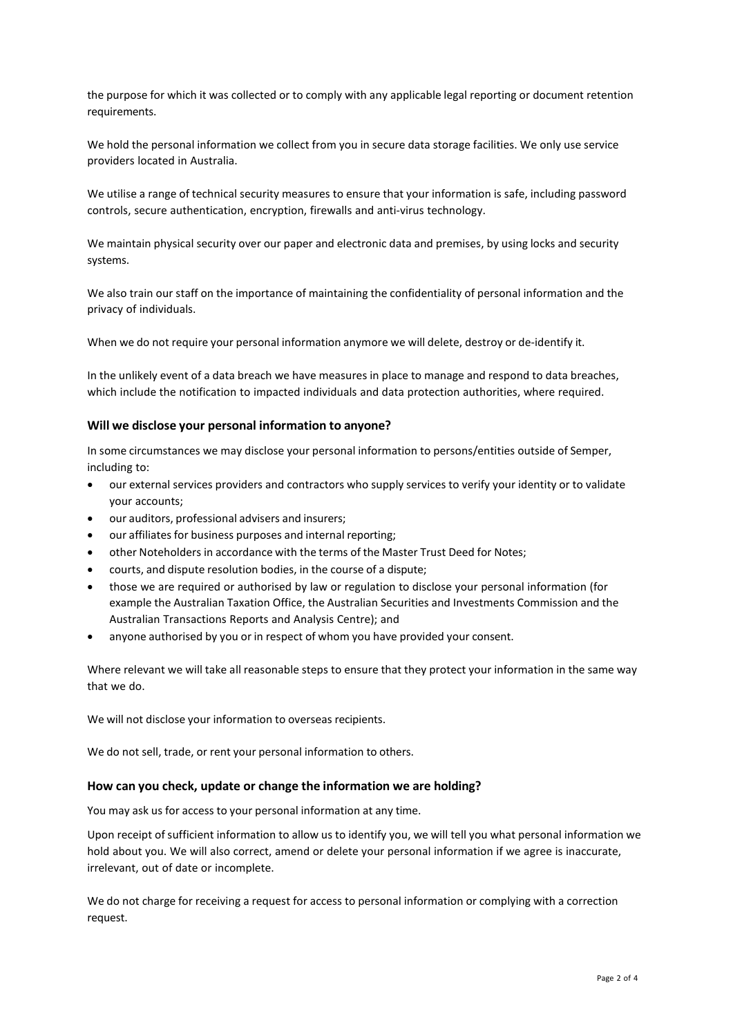the purpose for which it was collected or to comply with any applicable legal reporting or document retention requirements.

We hold the personal information we collect from you in secure data storage facilities. We only use service providers located in Australia.

We utilise a range of technical security measures to ensure that your information is safe, including password controls, secure authentication, encryption, firewalls and anti-virus technology.

We maintain physical security over our paper and electronic data and premises, by using locks and security systems.

We also train our staff on the importance of maintaining the confidentiality of personal information and the privacy of individuals.

When we do not require your personal information anymore we will delete, destroy or de-identify it.

In the unlikely event of a data breach we have measures in place to manage and respond to data breaches, which include the notification to impacted individuals and data protection authorities, where required.

#### **Will we disclose your personal information to anyone?**

In some circumstances we may disclose your personal information to persons/entities outside of Semper, including to:

- our external services providers and contractors who supply services to verify your identity or to validate your accounts;
- our auditors, professional advisers and insurers;
- our affiliates for business purposes and internal reporting;
- other Noteholders in accordance with the terms of the Master Trust Deed for Notes;
- courts, and dispute resolution bodies, in the course of a dispute;
- those we are required or authorised by law or regulation to disclose your personal information (for example the Australian Taxation Office, the Australian Securities and Investments Commission and the Australian Transactions Reports and Analysis Centre); and
- anyone authorised by you or in respect of whom you have provided your consent.

Where relevant we will take all reasonable steps to ensure that they protect your information in the same way that we do.

We will not disclose your information to overseas recipients.

We do not sell, trade, or rent your personal information to others.

#### **How can you check, update or change the information we are holding?**

You may ask us for access to your personal information at any time.

Upon receipt of sufficient information to allow us to identify you, we will tell you what personal information we hold about you. We will also correct, amend or delete your personal information if we agree is inaccurate, irrelevant, out of date or incomplete.

We do not charge for receiving a request for access to personal information or complying with a correction request.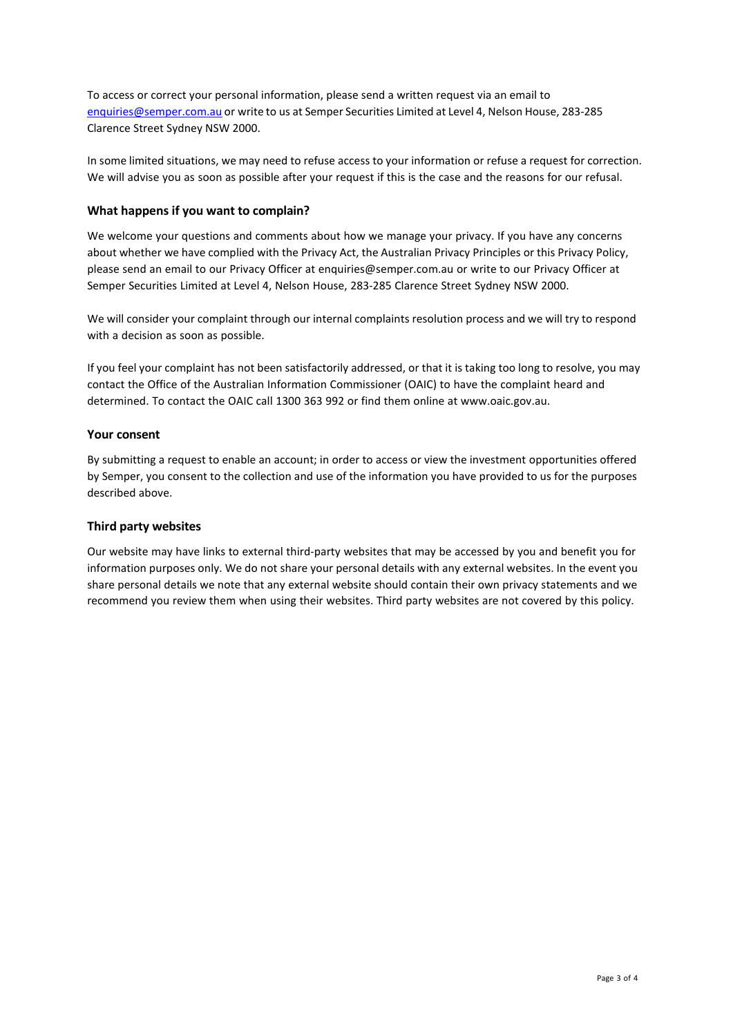To access or correct your personal information, please send a written request via an email to [enquiries@semper.com.au](mailto:enquiries@semper.com.au) or write to us at Semper Securities Limited at Level 4, Nelson House, 283-285 Clarence Street Sydney NSW 2000.

In some limited situations, we may need to refuse access to your information or refuse a request for correction. We will advise you as soon as possible after your request if this is the case and the reasons for our refusal.

# **What happens if you want to complain?**

We welcome your questions and comments about how we manage your privacy. If you have any concerns about whether we have complied with the Privacy Act, the Australian Privacy Principles or this Privacy Policy, please send an email to our Privacy Officer at [enquiries@semper.com.au](mailto:enquiries@semper.com.au) or write to our Privacy Officer at Semper Securities Limited at Level 4, Nelson House, 283-285 Clarence Street Sydney NSW 2000.

We will consider your complaint through our internal complaints resolution process and we will try to respond with a decision as soon as possible.

If you feel your complaint has not been satisfactorily addressed, or that it is taking too long to resolve, you may contact the Office of the Australian Information Commissioner (OAIC) to have the complaint heard and determined. To contact the OAIC call 1300 363 992 or find them online at [www.oaic.gov.au.](http://www.oaic.gov.au/)

# **Your consent**

By submitting a request to enable an account; in order to access or view the investment opportunities offered by Semper, you consent to the collection and use of the information you have provided to us for the purposes described above.

# **Third party websites**

Our website may have links to external third-party websites that may be accessed by you and benefit you for information purposes only. We do not share your personal details with any external websites. In the event you share personal details we note that any external website should contain their own privacy statements and we recommend you review them when using their websites. Third party websites are not covered by this policy.